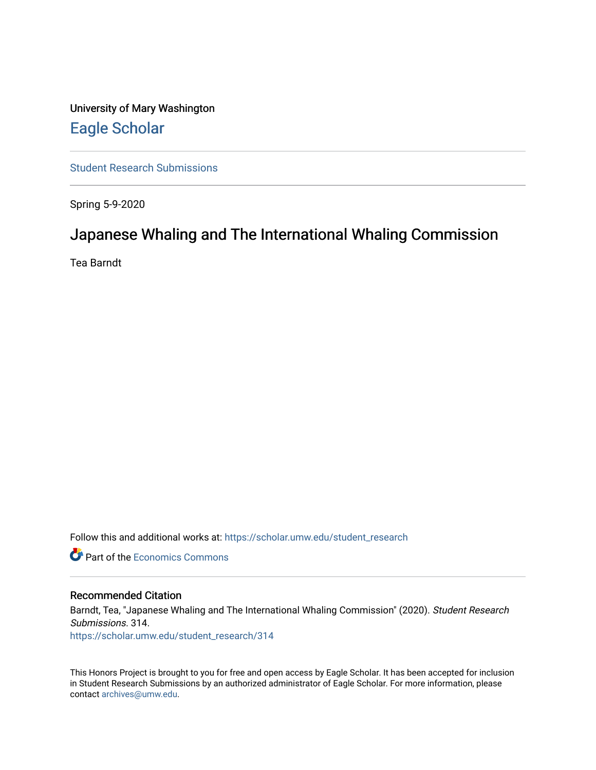University of Mary Washington [Eagle Scholar](https://scholar.umw.edu/) 

[Student Research Submissions](https://scholar.umw.edu/student_research) 

Spring 5-9-2020

### Japanese Whaling and The International Whaling Commission

Tea Barndt

Follow this and additional works at: [https://scholar.umw.edu/student\\_research](https://scholar.umw.edu/student_research?utm_source=scholar.umw.edu%2Fstudent_research%2F314&utm_medium=PDF&utm_campaign=PDFCoverPages)

**C** Part of the [Economics Commons](http://network.bepress.com/hgg/discipline/340?utm_source=scholar.umw.edu%2Fstudent_research%2F314&utm_medium=PDF&utm_campaign=PDFCoverPages)

#### Recommended Citation

Barndt, Tea, "Japanese Whaling and The International Whaling Commission" (2020). Student Research Submissions. 314. [https://scholar.umw.edu/student\\_research/314](https://scholar.umw.edu/student_research/314?utm_source=scholar.umw.edu%2Fstudent_research%2F314&utm_medium=PDF&utm_campaign=PDFCoverPages)

This Honors Project is brought to you for free and open access by Eagle Scholar. It has been accepted for inclusion in Student Research Submissions by an authorized administrator of Eagle Scholar. For more information, please contact [archives@umw.edu](mailto:archives@umw.edu).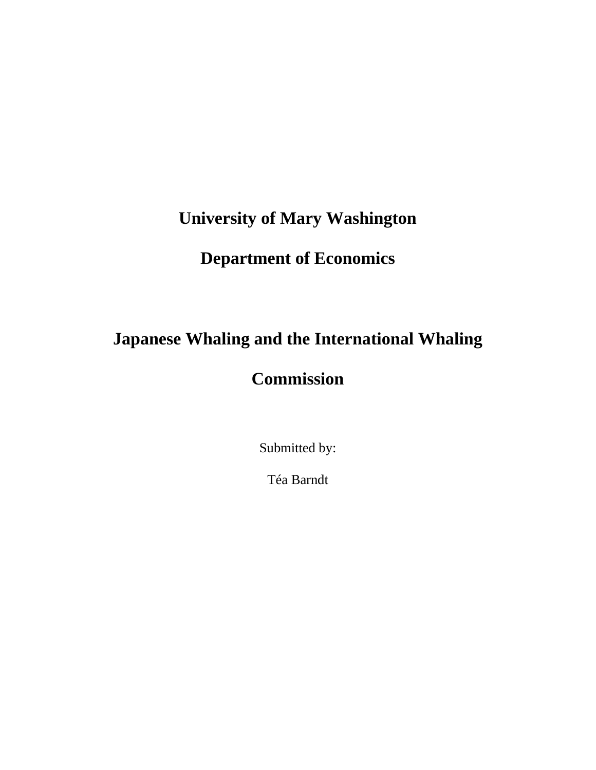# **University of Mary Washington**

# **Department of Economics**

# **Japanese Whaling and the International Whaling**

# **Commission**

Submitted by:

Téa Barndt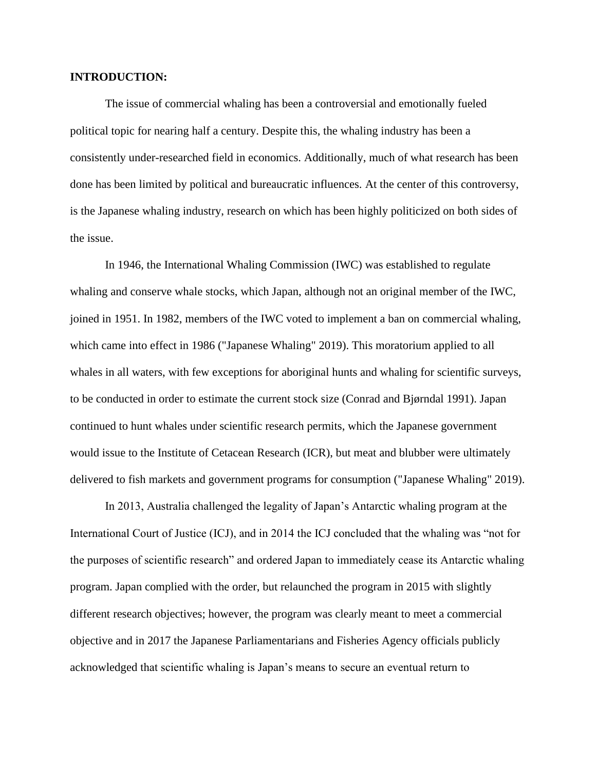#### **INTRODUCTION:**

The issue of commercial whaling has been a controversial and emotionally fueled political topic for nearing half a century. Despite this, the whaling industry has been a consistently under-researched field in economics. Additionally, much of what research has been done has been limited by political and bureaucratic influences. At the center of this controversy, is the Japanese whaling industry, research on which has been highly politicized on both sides of the issue.

In 1946, the International Whaling Commission (IWC) was established to regulate whaling and conserve whale stocks, which Japan, although not an original member of the IWC, joined in 1951. In 1982, members of the IWC voted to implement a ban on commercial whaling, which came into effect in 1986 ("Japanese Whaling" 2019). This moratorium applied to all whales in all waters, with few exceptions for aboriginal hunts and whaling for scientific surveys, to be conducted in order to estimate the current stock size (Conrad and Bjørndal 1991). Japan continued to hunt whales under scientific research permits, which the Japanese government would issue to the Institute of Cetacean Research (ICR), but meat and blubber were ultimately delivered to fish markets and government programs for consumption ("Japanese Whaling" 2019).

In 2013, Australia challenged the legality of Japan's Antarctic whaling program at the International Court of Justice (ICJ), and in 2014 the ICJ concluded that the whaling was "not for the purposes of scientific research" and ordered Japan to immediately cease its Antarctic whaling program. Japan complied with the order, but relaunched the program in 2015 with slightly different research objectives; however, the program was clearly meant to meet a commercial objective and in 2017 the Japanese Parliamentarians and Fisheries Agency officials publicly acknowledged that scientific whaling is Japan's means to secure an eventual return to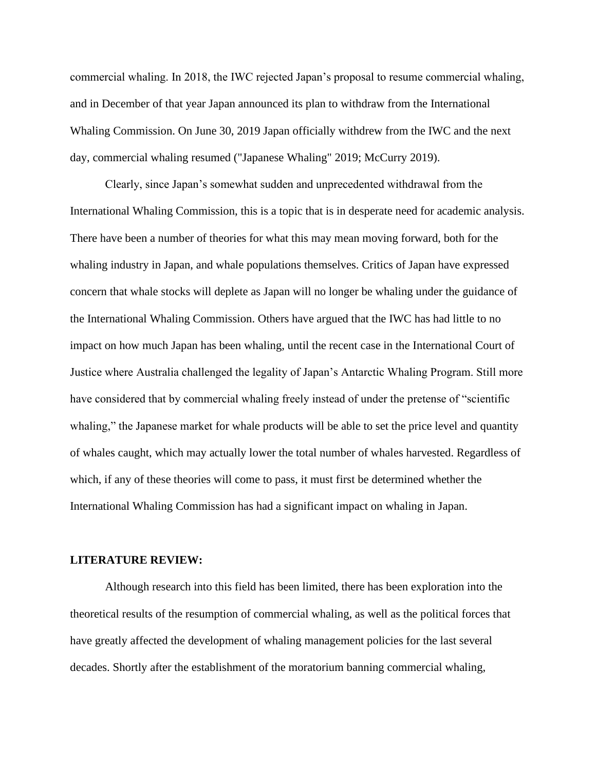commercial whaling. In 2018, the IWC rejected Japan's proposal to resume commercial whaling, and in December of that year Japan announced its plan to withdraw from the International Whaling Commission. On June 30, 2019 Japan officially withdrew from the IWC and the next day, commercial whaling resumed ("Japanese Whaling" 2019; McCurry 2019).

Clearly, since Japan's somewhat sudden and unprecedented withdrawal from the International Whaling Commission, this is a topic that is in desperate need for academic analysis. There have been a number of theories for what this may mean moving forward, both for the whaling industry in Japan, and whale populations themselves. Critics of Japan have expressed concern that whale stocks will deplete as Japan will no longer be whaling under the guidance of the International Whaling Commission. Others have argued that the IWC has had little to no impact on how much Japan has been whaling, until the recent case in the International Court of Justice where Australia challenged the legality of Japan's Antarctic Whaling Program. Still more have considered that by commercial whaling freely instead of under the pretense of "scientific whaling," the Japanese market for whale products will be able to set the price level and quantity of whales caught, which may actually lower the total number of whales harvested. Regardless of which, if any of these theories will come to pass, it must first be determined whether the International Whaling Commission has had a significant impact on whaling in Japan.

#### **LITERATURE REVIEW:**

Although research into this field has been limited, there has been exploration into the theoretical results of the resumption of commercial whaling, as well as the political forces that have greatly affected the development of whaling management policies for the last several decades. Shortly after the establishment of the moratorium banning commercial whaling,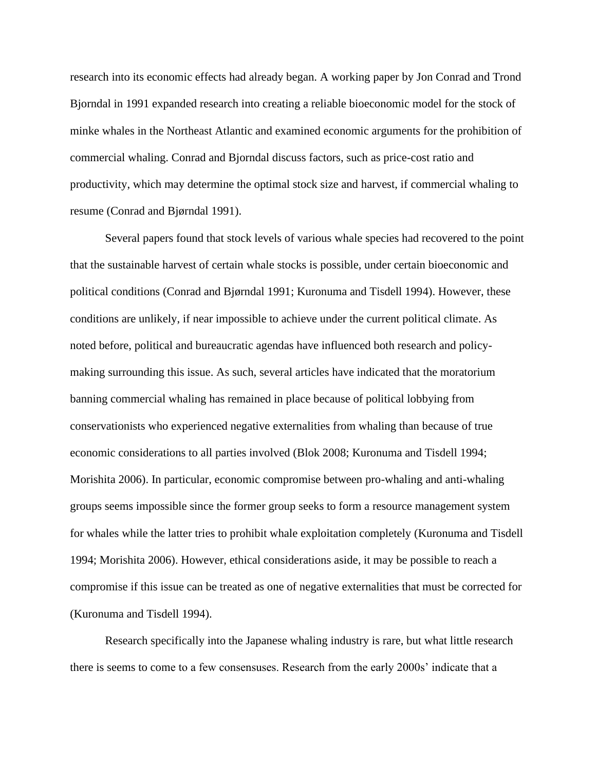research into its economic effects had already began. A working paper by Jon Conrad and Trond Bjorndal in 1991 expanded research into creating a reliable bioeconomic model for the stock of minke whales in the Northeast Atlantic and examined economic arguments for the prohibition of commercial whaling. Conrad and Bjorndal discuss factors, such as price-cost ratio and productivity, which may determine the optimal stock size and harvest, if commercial whaling to resume (Conrad and Bjørndal 1991).

Several papers found that stock levels of various whale species had recovered to the point that the sustainable harvest of certain whale stocks is possible, under certain bioeconomic and political conditions (Conrad and Bjørndal 1991; Kuronuma and Tisdell 1994). However, these conditions are unlikely, if near impossible to achieve under the current political climate. As noted before, political and bureaucratic agendas have influenced both research and policymaking surrounding this issue. As such, several articles have indicated that the moratorium banning commercial whaling has remained in place because of political lobbying from conservationists who experienced negative externalities from whaling than because of true economic considerations to all parties involved (Blok 2008; Kuronuma and Tisdell 1994; Morishita 2006). In particular, economic compromise between pro-whaling and anti-whaling groups seems impossible since the former group seeks to form a resource management system for whales while the latter tries to prohibit whale exploitation completely (Kuronuma and Tisdell 1994; Morishita 2006). However, ethical considerations aside, it may be possible to reach a compromise if this issue can be treated as one of negative externalities that must be corrected for (Kuronuma and Tisdell 1994).

Research specifically into the Japanese whaling industry is rare, but what little research there is seems to come to a few consensuses. Research from the early 2000s' indicate that a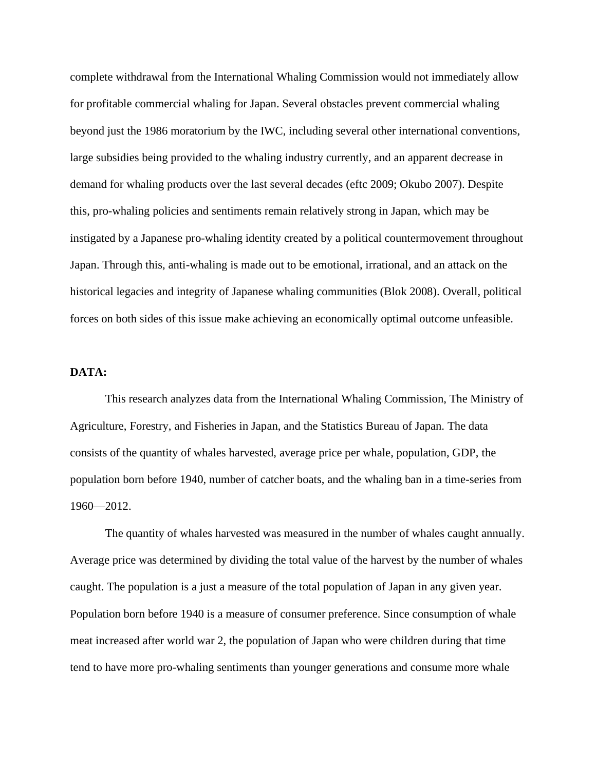complete withdrawal from the International Whaling Commission would not immediately allow for profitable commercial whaling for Japan. Several obstacles prevent commercial whaling beyond just the 1986 moratorium by the IWC, including several other international conventions, large subsidies being provided to the whaling industry currently, and an apparent decrease in demand for whaling products over the last several decades (eftc 2009; Okubo 2007). Despite this, pro-whaling policies and sentiments remain relatively strong in Japan, which may be instigated by a Japanese pro-whaling identity created by a political countermovement throughout Japan. Through this, anti-whaling is made out to be emotional, irrational, and an attack on the historical legacies and integrity of Japanese whaling communities (Blok 2008). Overall, political forces on both sides of this issue make achieving an economically optimal outcome unfeasible.

#### **DATA:**

This research analyzes data from the International Whaling Commission, The Ministry of Agriculture, Forestry, and Fisheries in Japan, and the Statistics Bureau of Japan. The data consists of the quantity of whales harvested, average price per whale, population, GDP, the population born before 1940, number of catcher boats, and the whaling ban in a time-series from 1960—2012.

The quantity of whales harvested was measured in the number of whales caught annually. Average price was determined by dividing the total value of the harvest by the number of whales caught. The population is a just a measure of the total population of Japan in any given year. Population born before 1940 is a measure of consumer preference. Since consumption of whale meat increased after world war 2, the population of Japan who were children during that time tend to have more pro-whaling sentiments than younger generations and consume more whale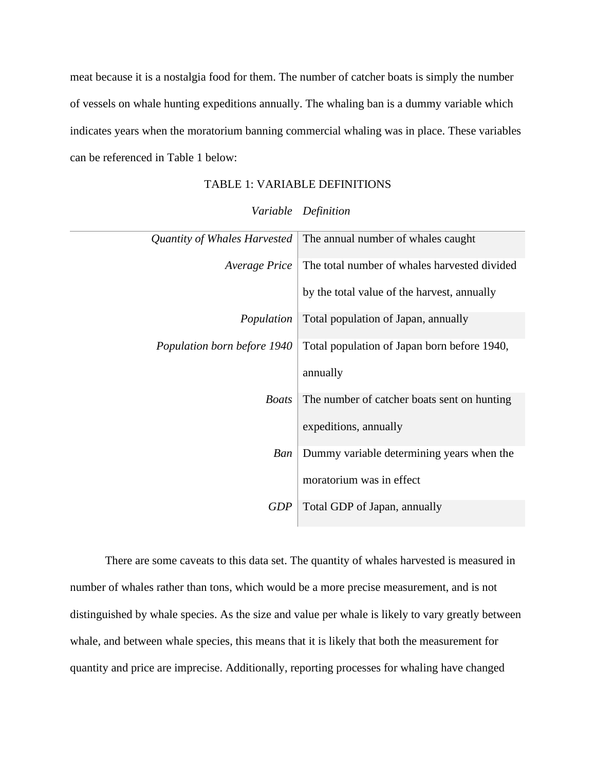meat because it is a nostalgia food for them. The number of catcher boats is simply the number of vessels on whale hunting expeditions annually. The whaling ban is a dummy variable which indicates years when the moratorium banning commercial whaling was in place. These variables can be referenced in Table 1 below:

### TABLE 1: VARIABLE DEFINITIONS

| Quantity of Whales Harvested | The annual number of whales caught           |
|------------------------------|----------------------------------------------|
| <i>Average Price</i>         | The total number of whales harvested divided |
|                              | by the total value of the harvest, annually  |
| Population                   | Total population of Japan, annually          |
| Population born before 1940  | Total population of Japan born before 1940,  |
|                              | annually                                     |
| <b>Boats</b>                 | The number of catcher boats sent on hunting  |
|                              | expeditions, annually                        |
| Ban                          | Dummy variable determining years when the    |
|                              | moratorium was in effect                     |
| <b>GDP</b>                   | Total GDP of Japan, annually                 |

#### *Variable Definition*

There are some caveats to this data set. The quantity of whales harvested is measured in number of whales rather than tons, which would be a more precise measurement, and is not distinguished by whale species. As the size and value per whale is likely to vary greatly between whale, and between whale species, this means that it is likely that both the measurement for quantity and price are imprecise. Additionally, reporting processes for whaling have changed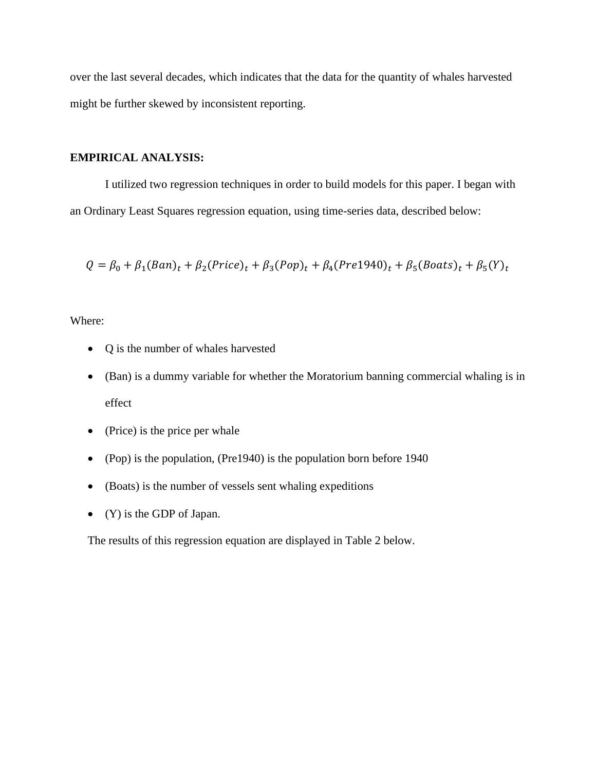over the last several decades, which indicates that the data for the quantity of whales harvested might be further skewed by inconsistent reporting.

### **EMPIRICAL ANALYSIS:**

I utilized two regression techniques in order to build models for this paper. I began with an Ordinary Least Squares regression equation, using time-series data, described below:

$$
Q = \beta_0 + \beta_1 (Ban)_t + \beta_2 (Price)_t + \beta_3 (Pop)_t + \beta_4 (Pre1940)_t + \beta_5 (Boats)_t + \beta_5 (Y)_t
$$

Where:

- Q is the number of whales harvested
- (Ban) is a dummy variable for whether the Moratorium banning commercial whaling is in effect
- (Price) is the price per whale
- (Pop) is the population, (Pre1940) is the population born before 1940
- (Boats) is the number of vessels sent whaling expeditions
- (Y) is the GDP of Japan.

The results of this regression equation are displayed in Table 2 below.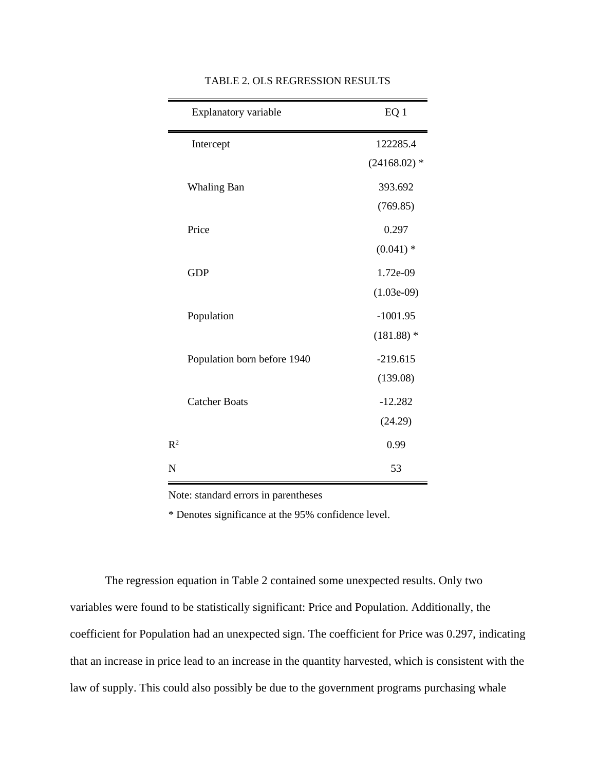|                | Explanatory variable        | EQ 1           |
|----------------|-----------------------------|----------------|
|                | Intercept                   | 122285.4       |
|                |                             | $(24168.02)$ * |
|                | <b>Whaling Ban</b>          | 393.692        |
|                |                             | (769.85)       |
|                | Price                       | 0.297          |
|                |                             | $(0.041)$ *    |
|                | <b>GDP</b>                  | 1.72e-09       |
|                |                             | $(1.03e-09)$   |
|                | Population                  | $-1001.95$     |
|                |                             | $(181.88)$ *   |
|                | Population born before 1940 | $-219.615$     |
|                |                             | (139.08)       |
|                | <b>Catcher Boats</b>        | $-12.282$      |
|                |                             | (24.29)        |
| R <sup>2</sup> |                             | 0.99           |
| N              |                             | 53             |

TABLE 2. OLS REGRESSION RESULTS

Note: standard errors in parentheses

\* Denotes significance at the 95% confidence level.

The regression equation in Table 2 contained some unexpected results. Only two variables were found to be statistically significant: Price and Population. Additionally, the coefficient for Population had an unexpected sign. The coefficient for Price was 0.297, indicating that an increase in price lead to an increase in the quantity harvested, which is consistent with the law of supply. This could also possibly be due to the government programs purchasing whale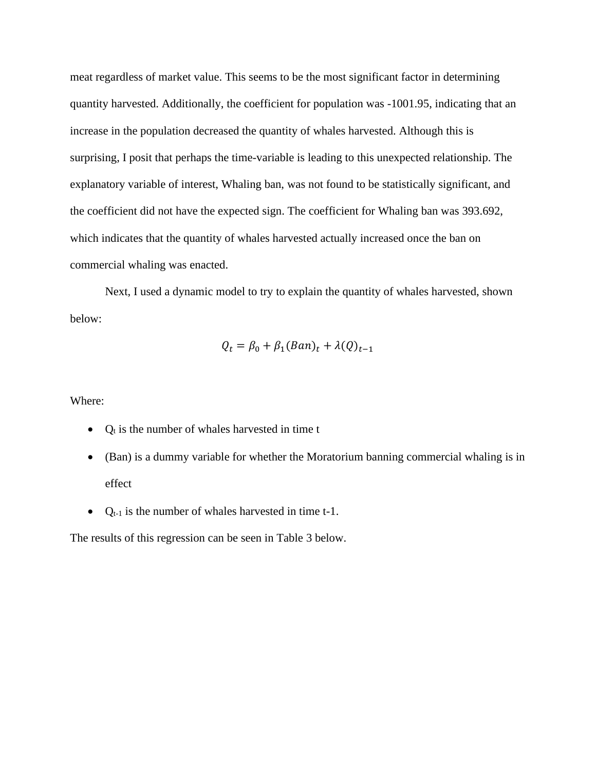meat regardless of market value. This seems to be the most significant factor in determining quantity harvested. Additionally, the coefficient for population was -1001.95, indicating that an increase in the population decreased the quantity of whales harvested. Although this is surprising, I posit that perhaps the time-variable is leading to this unexpected relationship. The explanatory variable of interest, Whaling ban, was not found to be statistically significant, and the coefficient did not have the expected sign. The coefficient for Whaling ban was 393.692, which indicates that the quantity of whales harvested actually increased once the ban on commercial whaling was enacted.

Next, I used a dynamic model to try to explain the quantity of whales harvested, shown below:

$$
Q_t = \beta_0 + \beta_1(Ban)_t + \lambda(Q)_{t-1}
$$

Where:

- $Q_t$  is the number of whales harvested in time t
- (Ban) is a dummy variable for whether the Moratorium banning commercial whaling is in effect
- $Q_{t-1}$  is the number of whales harvested in time t-1.

The results of this regression can be seen in Table 3 below.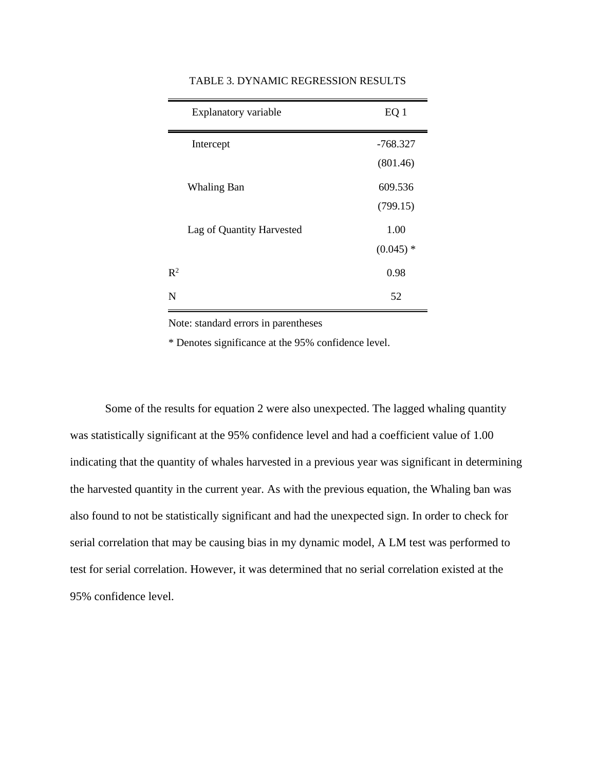|                | Explanatory variable      | EQ <sub>1</sub> |
|----------------|---------------------------|-----------------|
|                | Intercept                 | $-768.327$      |
|                |                           | (801.46)        |
|                | Whaling Ban               | 609.536         |
|                |                           | (799.15)        |
|                | Lag of Quantity Harvested | 1.00            |
|                |                           | $(0.045)$ *     |
| $\mathsf{R}^2$ |                           | 0.98            |
| N              |                           | 52              |

#### TABLE 3. DYNAMIC REGRESSION RESULTS

Note: standard errors in parentheses

\* Denotes significance at the 95% confidence level.

Some of the results for equation 2 were also unexpected. The lagged whaling quantity was statistically significant at the 95% confidence level and had a coefficient value of 1.00 indicating that the quantity of whales harvested in a previous year was significant in determining the harvested quantity in the current year. As with the previous equation, the Whaling ban was also found to not be statistically significant and had the unexpected sign. In order to check for serial correlation that may be causing bias in my dynamic model, A LM test was performed to test for serial correlation. However, it was determined that no serial correlation existed at the 95% confidence level.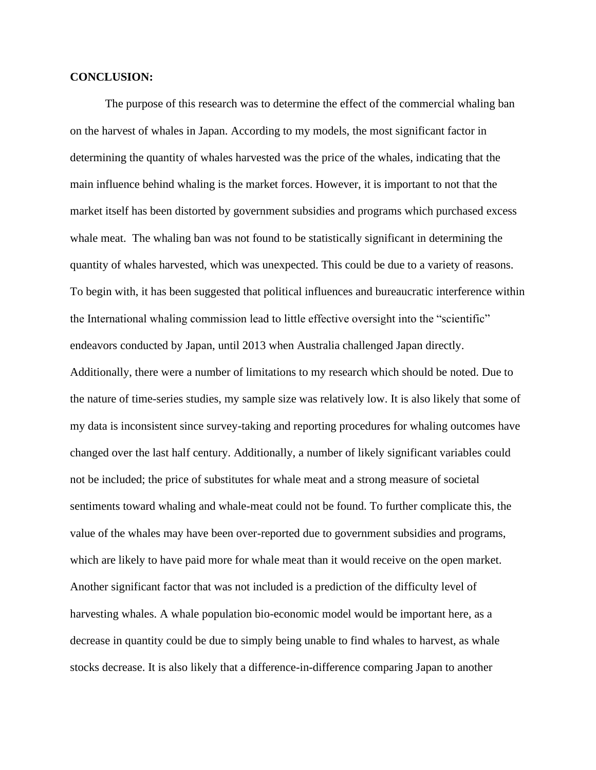#### **CONCLUSION:**

The purpose of this research was to determine the effect of the commercial whaling ban on the harvest of whales in Japan. According to my models, the most significant factor in determining the quantity of whales harvested was the price of the whales, indicating that the main influence behind whaling is the market forces. However, it is important to not that the market itself has been distorted by government subsidies and programs which purchased excess whale meat. The whaling ban was not found to be statistically significant in determining the quantity of whales harvested, which was unexpected. This could be due to a variety of reasons. To begin with, it has been suggested that political influences and bureaucratic interference within the International whaling commission lead to little effective oversight into the "scientific" endeavors conducted by Japan, until 2013 when Australia challenged Japan directly. Additionally, there were a number of limitations to my research which should be noted. Due to the nature of time-series studies, my sample size was relatively low. It is also likely that some of my data is inconsistent since survey-taking and reporting procedures for whaling outcomes have changed over the last half century. Additionally, a number of likely significant variables could not be included; the price of substitutes for whale meat and a strong measure of societal sentiments toward whaling and whale-meat could not be found. To further complicate this, the value of the whales may have been over-reported due to government subsidies and programs, which are likely to have paid more for whale meat than it would receive on the open market. Another significant factor that was not included is a prediction of the difficulty level of harvesting whales. A whale population bio-economic model would be important here, as a decrease in quantity could be due to simply being unable to find whales to harvest, as whale stocks decrease. It is also likely that a difference-in-difference comparing Japan to another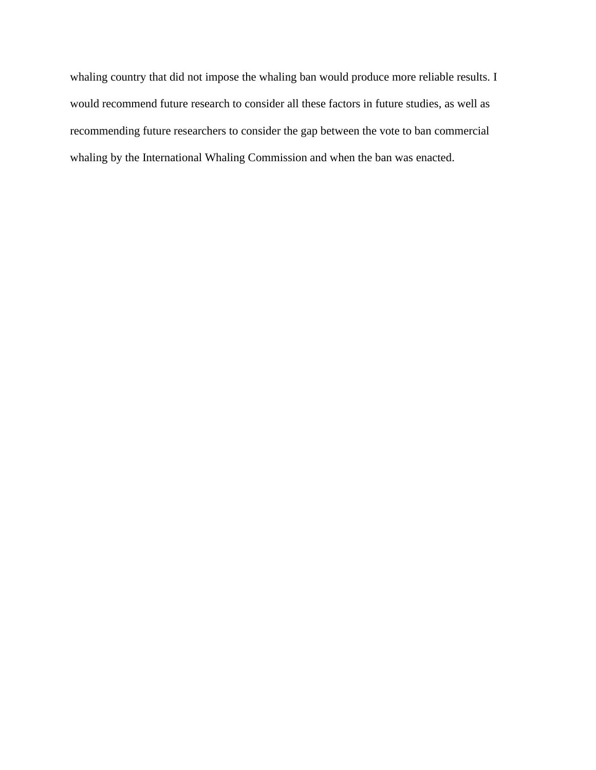whaling country that did not impose the whaling ban would produce more reliable results. I would recommend future research to consider all these factors in future studies, as well as recommending future researchers to consider the gap between the vote to ban commercial whaling by the International Whaling Commission and when the ban was enacted.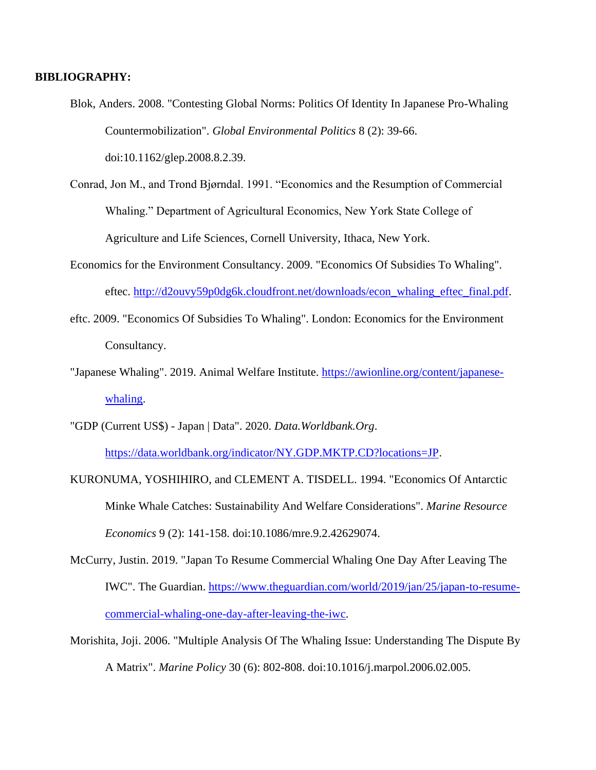#### **BIBLIOGRAPHY:**

- Blok, Anders. 2008. "Contesting Global Norms: Politics Of Identity In Japanese Pro-Whaling Countermobilization". *Global Environmental Politics* 8 (2): 39-66. doi:10.1162/glep.2008.8.2.39.
- Conrad, Jon M., and Trond Bjørndal. 1991. "Economics and the Resumption of Commercial Whaling." Department of Agricultural Economics, New York State College of Agriculture and Life Sciences, Cornell University, Ithaca, New York.
- Economics for the Environment Consultancy. 2009. "Economics Of Subsidies To Whaling". eftec. [http://d2ouvy59p0dg6k.cloudfront.net/downloads/econ\\_whaling\\_eftec\\_final.pdf.](http://d2ouvy59p0dg6k.cloudfront.net/downloads/econ_whaling_eftec_final.pdf)
- eftc. 2009. "Economics Of Subsidies To Whaling". London: Economics for the Environment Consultancy.
- "Japanese Whaling". 2019. Animal Welfare Institute. [https://awionline.org/content/japanese](https://awionline.org/content/japanese-whaling)[whaling.](https://awionline.org/content/japanese-whaling)
- "GDP (Current US\$) Japan | Data". 2020. *Data.Worldbank.Org*. [https://data.worldbank.org/indicator/NY.GDP.MKTP.CD?locations=JP.](https://data.worldbank.org/indicator/NY.GDP.MKTP.CD?locations=JP)
- KURONUMA, YOSHIHIRO, and CLEMENT A. TISDELL. 1994. "Economics Of Antarctic Minke Whale Catches: Sustainability And Welfare Considerations". *Marine Resource Economics* 9 (2): 141-158. doi:10.1086/mre.9.2.42629074.
- McCurry, Justin. 2019. "Japan To Resume Commercial Whaling One Day After Leaving The IWC". The Guardian. [https://www.theguardian.com/world/2019/jan/25/japan-to-resume](https://www.theguardian.com/world/2019/jan/25/japan-to-resume-commercial-whaling-one-day-after-leaving-the-iwc)[commercial-whaling-one-day-after-leaving-the-iwc.](https://www.theguardian.com/world/2019/jan/25/japan-to-resume-commercial-whaling-one-day-after-leaving-the-iwc)
- Morishita, Joji. 2006. "Multiple Analysis Of The Whaling Issue: Understanding The Dispute By A Matrix". *Marine Policy* 30 (6): 802-808. doi:10.1016/j.marpol.2006.02.005.